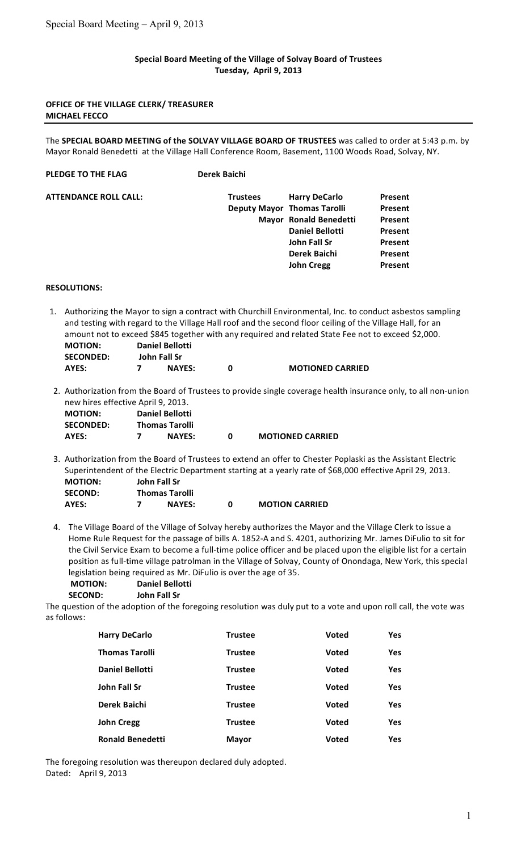## **Special
Board
Meeting
of
the
Village
of
Solvay
Board
of
Trustees Tuesday,

April
9,
2013**

## **OFFICE
OF
THE
VILLAGE
CLERK/
TREASURER MICHAEL
FECCO**

The SPECIAL BOARD MEETING of the SOLVAY VILLAGE BOARD OF TRUSTEES was called to order at 5:43 p.m. by Mayor Ronald Benedetti at the Village Hall Conference Room, Basement, 1100 Woods Road, Solvay, NY.

| <b>PLEDGE TO THE FLAG</b>    | Derek Baichi    |                                    |         |
|------------------------------|-----------------|------------------------------------|---------|
| <b>ATTENDANCE ROLL CALL:</b> | <b>Trustees</b> | <b>Harry DeCarlo</b>               | Present |
|                              |                 | <b>Deputy Mayor Thomas Tarolli</b> | Present |
|                              |                 | Mayor Ronald Benedetti             | Present |
|                              |                 | <b>Daniel Bellotti</b>             | Present |
|                              |                 | John Fall Sr                       | Present |
|                              |                 | Derek Baichi                       | Present |
|                              |                 | <b>John Cregg</b>                  | Present |

## **RESOLUTIONS:**

1. Authorizing the Mayor to sign a contract with Churchill Environmental, Inc. to conduct asbestos sampling and testing with regard to the Village Hall roof and the second floor ceiling of the Village Hall, for an amount not to exceed \$845 together with any required and related State Fee not to exceed \$2,000. **MOTION: Daniel
Bellotti SECONDED: John
Fall
Sr**

| JLLUIVULU. | JUIIII FAII JI |               |                         |
|------------|----------------|---------------|-------------------------|
| AYES:      |                | <b>NAYES:</b> | <b>MOTIONED CARRIED</b> |

2. Authorization from the Board of Trustees to provide single coverage health insurance only, to all non-union new
hires
effective
April
9,
2013.

| <b>MOTION:</b>   | <b>Daniel Bellotti</b> |                         |
|------------------|------------------------|-------------------------|
| <b>SECONDED:</b> | <b>Thomas Tarolli</b>  |                         |
| AYES:            | <b>NAYES:</b>          | <b>MOTIONED CARRIED</b> |

- 3. Authorization from the Board of Trustees to extend an offer to Chester Poplaski as the Assistant Electric Superintendent of the Electric Department starting at a yearly rate of \$68,000 effective April 29, 2013. **MOTION: John
Fall
Sr SECOND: Thomas
Tarolli AYES: 7 NAYES: 0 MOTION
CARRIED**
- 4. The Village Board of the Village of Solvay hereby authorizes the Mayor and the Village Clerk to issue a Home Rule Request for the passage of bills A. 1852-A and S. 4201, authorizing Mr. James DiFulio to sit for the Civil Service Exam to become a full-time police officer and be placed upon the eligible list for a certain position as full-time village patrolman in the Village of Solvay, County of Onondaga, New York, this special legislation being required as Mr. DiFulio is over the age of 35.

| <b>MOTION:</b> | <b>Daniel Bellotti</b> |
|----------------|------------------------|
| <b>SECOND:</b> | John Fall Sr           |

The question of the adoption of the foregoing resolution was duly put to a vote and upon roll call, the vote was as
follows:

| <b>Harry DeCarlo</b>    | <b>Trustee</b> | Voted        | Yes |
|-------------------------|----------------|--------------|-----|
| <b>Thomas Tarolli</b>   | <b>Trustee</b> | Voted        | Yes |
| <b>Daniel Bellotti</b>  | <b>Trustee</b> | Voted        | Yes |
| John Fall Sr            | <b>Trustee</b> | Voted        | Yes |
| Derek Baichi            | <b>Trustee</b> | Voted        | Yes |
| <b>John Cregg</b>       | <b>Trustee</b> | Voted        | Yes |
| <b>Ronald Benedetti</b> | <b>Mayor</b>   | <b>Voted</b> | Yes |

The
foregoing
resolution
was
thereupon
declared
duly
adopted. Dated:

April
9,
2013